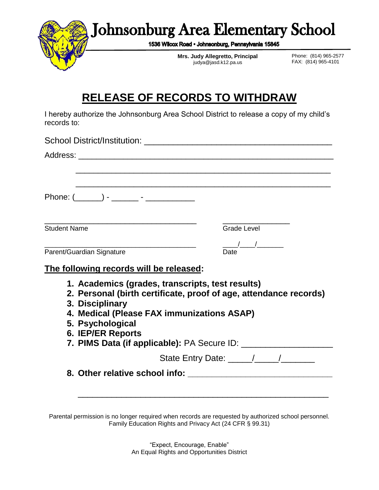

## **RELEASE OF RECORDS TO WITHDRAW**

I hereby authorize the Johnsonburg Area School District to release a copy of my child's records to:

| Phone: $(\_\_ )$ - $\_\_$ - $\_\_$               |                         |
|--------------------------------------------------|-------------------------|
|                                                  |                         |
| <b>Student Name</b>                              | <b>Grade Level</b>      |
|                                                  | $\frac{1}{\sqrt{2\pi}}$ |
| Parent/Guardian Signature                        | Date                    |
| The following records will be released:          |                         |
| 1. Academics (grades, transcripts, test results) |                         |

- **2. Personal (birth certificate, proof of age, attendance records)**
- **3. Disciplinary**
- **4. Medical (Please FAX immunizations ASAP)**
- **5. Psychological**
- **6. IEP/ER Reports**

**7. PIMS Data (if applicable):** PA Secure ID: \_\_\_\_\_\_\_\_\_\_\_\_\_\_\_\_\_\_\_

\_\_\_\_\_\_\_\_\_\_\_\_\_\_\_\_\_\_\_\_\_\_\_\_\_\_\_\_\_\_\_\_\_\_\_\_\_\_\_\_\_\_\_\_\_\_\_\_\_\_\_\_

State Entry Date:  $\frac{1}{2}$  /

**8. Other relative school info: \_\_\_\_\_\_\_\_\_\_\_\_\_\_\_\_\_\_\_\_\_\_\_\_\_\_\_\_\_\_**

Parental permission is no longer required when records are requested by authorized school personnel. Family Education Rights and Privacy Act (24 CFR § 99.31)

> "Expect, Encourage, Enable" An Equal Rights and Opportunities District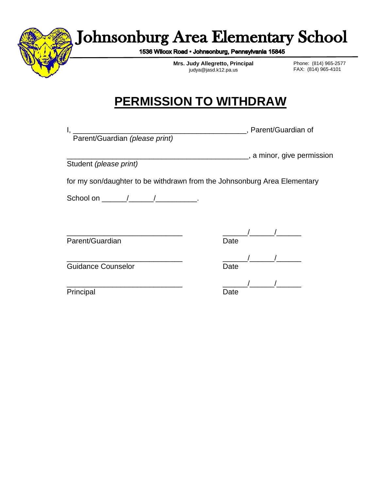

## **Johnsonburg Area Elementary School**

1536 Wilcox Road · Johnsonburg, Pennsylvania 15845

**Mrs. Judy Allegretto, Principal** judya@jasd.k12.pa.us

Phone: (814) 965-2577 FAX: (814) 965-4101

## **PERMISSION TO WITHDRAW**

Parent/Guardian *(please print)*

I, \_\_\_\_\_\_\_\_\_\_\_\_\_\_\_\_\_\_\_\_\_\_\_\_\_\_\_\_\_\_\_\_\_\_\_\_\_\_\_\_\_\_, Parent/Guardian of

Student *(please print)*

\_\_\_\_\_\_\_\_\_\_\_\_\_\_\_\_\_\_\_\_\_\_\_\_\_\_\_\_\_\_\_\_\_\_\_\_\_\_\_\_\_\_\_\_, a minor, give permission

for my son/daughter to be withdrawn from the Johnsonburg Area Elementary

School on \_\_\_\_\_\_/\_\_\_\_\_\_/\_\_\_\_\_\_\_\_\_\_\_.

Parent/Guardian Date Date

\_\_\_\_\_\_\_\_\_\_\_\_\_\_\_\_\_\_\_\_\_\_\_\_\_\_\_\_ \_\_\_\_\_\_/\_\_\_\_\_\_/\_\_\_\_\_\_

\_\_\_\_\_\_\_\_\_\_\_\_\_\_\_\_\_\_\_\_\_\_\_\_\_\_\_\_ \_\_\_\_\_\_/\_\_\_\_\_\_/\_\_\_\_\_\_ Guidance Counselor **Date** Date

Principal Date Date

\_\_\_\_\_\_\_\_\_\_\_\_\_\_\_\_\_\_\_\_\_\_\_\_\_\_\_\_ \_\_\_\_\_\_/\_\_\_\_\_\_/\_\_\_\_\_\_